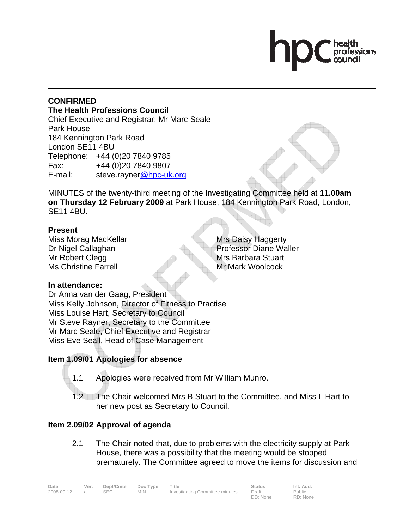#### **CONFIRMED The Health Professions Council** Chief Executive and Registrar: Mr Marc Seale Park House 184 Kennington Park Road London SE11 4BU Telephone: +44 (0)20 7840 9785

Fax: +44 (0)20 7840 9807

E-mail: steve.rayner@hpc-uk.org

MINUTES of the twenty-third meeting of the Investigating Committee held at **11.00am on Thursday 12 February 2009** at Park House, 184 Kennington Park Road, London, SE11 4BU.

#### **Present**

Miss Morag MacKellar Dr Nigel Callaghan Mr Robert Clegg Ms Christine Farrell

Mrs Daisy Haggerty Professor Diane Waller Mrs Barbara Stuart Mr Mark Woolcock

## **In attendance:**

Dr Anna van der Gaag, President Miss Kelly Johnson, Director of Fitness to Practise Miss Louise Hart, Secretary to Council Mr Steve Rayner, Secretary to the Committee Mr Marc Seale, Chief Executive and Registrar Miss Eve Seall, Head of Case Management

# **Item 1.09/01 Apologies for absence**

- 1.1 Apologies were received from Mr William Munro.
- 1.2 The Chair welcomed Mrs B Stuart to the Committee, and Miss L Hart to her new post as Secretary to Council.

## **Item 2.09/02 Approval of agenda**

2.1 The Chair noted that, due to problems with the electricity supply at Park House, there was a possibility that the meeting would be stopped prematurely. The Committee agreed to move the items for discussion and

| Date       | Ver. | Dept/Cmte | Doc Type | Title                           | <b>Status</b> | Int. Aud. |
|------------|------|-----------|----------|---------------------------------|---------------|-----------|
| 2008-09-12 |      | SEC.      | MIN.     | Investigating Committee minutes | Draft         | Public    |
|            |      |           |          |                                 | DD: None      | RD: None  |

Public RD: None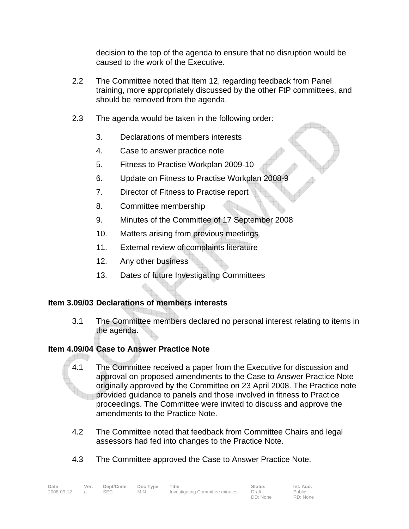decision to the top of the agenda to ensure that no disruption would be caused to the work of the Executive.

- 2.2 The Committee noted that Item 12, regarding feedback from Panel training, more appropriately discussed by the other FtP committees, and should be removed from the agenda.
- 2.3 The agenda would be taken in the following order:
	- 3. Declarations of members interests
	- 4. Case to answer practice note
	- 5. Fitness to Practise Workplan 2009-10
	- 6. Update on Fitness to Practise Workplan 2008-9
	- 7. Director of Fitness to Practise report
	- 8. Committee membership
	- 9. Minutes of the Committee of 17 September 2008
	- 10. Matters arising from previous meetings
	- 11. External review of complaints literature
	- 12. Any other business
	- 13. Dates of future Investigating Committees

#### **Item 3.09/03 Declarations of members interests**

3.1 The Committee members declared no personal interest relating to items in the agenda.

## **Item 4.09/04 Case to Answer Practice Note**

- 4.1 The Committee received a paper from the Executive for discussion and approval on proposed amendments to the Case to Answer Practice Note originally approved by the Committee on 23 April 2008. The Practice note provided guidance to panels and those involved in fitness to Practice proceedings. The Committee were invited to discuss and approve the amendments to the Practice Note.
- 4.2 The Committee noted that feedback from Committee Chairs and legal assessors had fed into changes to the Practice Note.
- 4.3 The Committee approved the Case to Answer Practice Note.

| Date       | Ver. | Dept/Cmte  | Doc Type | Title                           | <b>Status</b> | Int. Aud. |
|------------|------|------------|----------|---------------------------------|---------------|-----------|
| 2008-09-12 |      | <b>SEC</b> | MIN.     | Investigating Committee minutes | Draft         | Public    |
|            |      |            |          |                                 | DD: None      | RD: None  |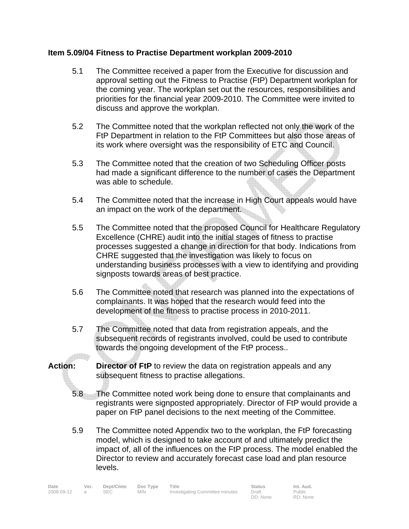#### **Item 5.09/04 Fitness to Practise Department workplan 2009-2010**

- 5.1 The Committee received a paper from the Executive for discussion and approval setting out the Fitness to Practise (FtP) Department workplan for the coming year. The workplan set out the resources, responsibilities and priorities for the financial year 2009-2010. The Committee were invited to discuss and approve the workplan.
- 5.2 The Committee noted that the workplan reflected not only the work of the FtP Department in relation to the FtP Committees but also those areas of its work where oversight was the responsibility of ETC and Council.
- 5.3 The Committee noted that the creation of two Scheduling Officer posts had made a significant difference to the number of cases the Department was able to schedule.
- 5.4 The Committee noted that the increase in High Court appeals would have an impact on the work of the department.
- 5.5 The Committee noted that the proposed Council for Healthcare Regulatory Excellence (CHRE) audit into the initial stages of fitness to practise processes suggested a change in direction for that body. Indications from CHRE suggested that the investigation was likely to focus on understanding business processes with a view to identifying and providing signposts towards areas of best practice.
- 5.6 The Committee noted that research was planned into the expectations of complainants. It was hoped that the research would feed into the development of the fitness to practise process in 2010-2011.
- 5.7 The Committee noted that data from registration appeals, and the subsequent records of registrants involved, could be used to contribute towards the ongoing development of the FtP process..  $\Box$
- **Action:** Director of FtP to review the data on registration appeals and any subsequent fitness to practise allegations.
	- 5.8 The Committee noted work being done to ensure that complainants and registrants were signposted appropriately. Director of FtP would provide a paper on FtP panel decisions to the next meeting of the Committee.
	- 5.9 The Committee noted Appendix two to the workplan, the FtP forecasting model, which is designed to take account of and ultimately predict the impact of, all of the influences on the FtP process. The model enabled the Director to review and accurately forecast case load and plan resource levels.

| Date       | Ver. | Dept/Cmte | Doc Type   | Title                           | <b>Status</b> | Int. Aud. |
|------------|------|-----------|------------|---------------------------------|---------------|-----------|
| 2008-09-12 |      | SEC       | <b>MIN</b> | Investigating Committee minutes | Draft         | Public    |
|            |      |           |            |                                 | DD: None      | RD: None  |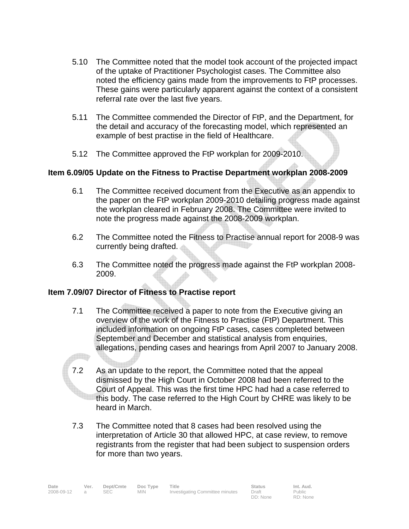- 5.10 The Committee noted that the model took account of the projected impact of the uptake of Practitioner Psychologist cases. The Committee also noted the efficiency gains made from the improvements to FtP processes. These gains were particularly apparent against the context of a consistent referral rate over the last five years.
- 5.11 The Committee commended the Director of FtP, and the Department, for the detail and accuracy of the forecasting model, which represented an example of best practise in the field of Healthcare.
- 5.12 The Committee approved the FtP workplan for 2009-2010.

## **Item 6.09/05 Update on the Fitness to Practise Department workplan 2008-2009**

- 6.1 The Committee received document from the Executive as an appendix to the paper on the FtP workplan 2009-2010 detailing progress made against the workplan cleared in February 2008. The Committee were invited to note the progress made against the 2008-2009 workplan.
- 6.2 The Committee noted the Fitness to Practise annual report for 2008-9 was currently being drafted.
- 6.3 The Committee noted the progress made against the FtP workplan 2008- 2009.

## **Item 7.09/07 Director of Fitness to Practise report**

**Alle** 

- 7.1 The Committee received a paper to note from the Executive giving an overview of the work of the Fitness to Practise (FtP) Department. This included information on ongoing FtP cases, cases completed between September and December and statistical analysis from enquiries, allegations, pending cases and hearings from April 2007 to January 2008.
- 7.2 As an update to the report, the Committee noted that the appeal dismissed by the High Court in October 2008 had been referred to the Court of Appeal. This was the first time HPC had had a case referred to this body. The case referred to the High Court by CHRE was likely to be heard in March.
- 7.3 The Committee noted that 8 cases had been resolved using the interpretation of Article 30 that allowed HPC, at case review, to remove registrants from the register that had been subject to suspension orders for more than two years.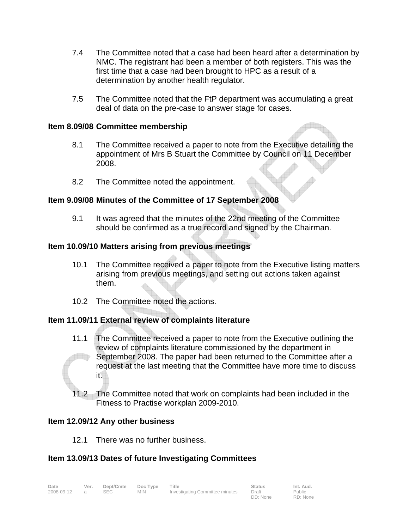- 7.4 The Committee noted that a case had been heard after a determination by NMC. The registrant had been a member of both registers. This was the first time that a case had been brought to HPC as a result of a determination by another health regulator.
- 7.5 The Committee noted that the FtP department was accumulating a great deal of data on the pre-case to answer stage for cases.

#### **Item 8.09/08 Committee membership**

- 8.1 The Committee received a paper to note from the Executive detailing the appointment of Mrs B Stuart the Committee by Council on 11 December 2008.
- 8.2 The Committee noted the appointment.

#### **Item 9.09/08 Minutes of the Committee of 17 September 2008**

9.1 It was agreed that the minutes of the 22nd meeting of the Committee should be confirmed as a true record and signed by the Chairman.

#### **Item 10.09/10 Matters arising from previous meetings**

- 10.1 The Committee received a paper to note from the Executive listing matters arising from previous meetings, and setting out actions taken against them.
- 10.2 The Committee noted the actions.

## **Item 11.09/11 External review of complaints literature**

- 11.1 The Committee received a paper to note from the Executive outlining the review of complaints literature commissioned by the department in September 2008. The paper had been returned to the Committee after a request at the last meeting that the Committee have more time to discuss it.
- 11.2 The Committee noted that work on complaints had been included in the Fitness to Practise workplan 2009-2010.

## **Item 12.09/12 Any other business**

12.1 There was no further business.

## **Item 13.09/13 Dates of future Investigating Committees**